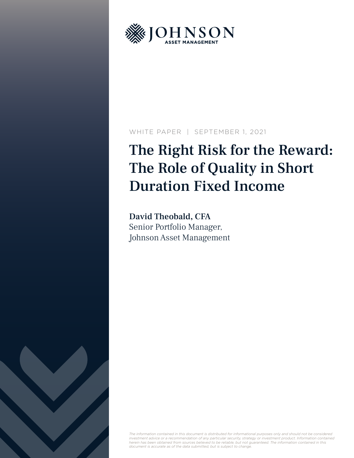

### WHITE PAPER | SEPTEMBER 1, 2021

# The Right Risk for the Reward: The Role of Quality in Short Duration Fixed Income

David Theobald, CFA Senior Portfolio Manager, Johnson Asset Management



The information contained in this document is distributed for informational purposes only and should not be considered<br>investment advice or a recommendation of any particular security, strategy or investment product. Infor *herein has been obtained from sources believed to be reliable, but not guaranteed. The information contained in this document is accurate as of the data submitted, but is subject to change.*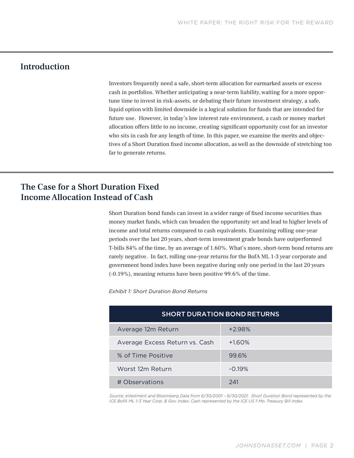# Introduction

Investors frequently need a safe, short-term allocation for earmarked assets or excess cash in portfolios. Whether anticipating a near-term liability, waiting for a more opportune time to invest in risk-assets, or debating their future investment strategy, a safe, liquid option with limited downside is a logical solution for funds that are intended for future use. However, in today's low interest rate environment, a cash or money market allocation offers little to no income, creating significant opportunity cost for an investor who sits in cash for any length of time. In this paper, we examine the merits and objectives of a Short Duration fixed income allocation, as well as the downside of stretching too far to generate returns.

# The Case for a Short Duration Fixed Income Allocation Instead of Cash

Short Duration bond funds can invest in a wider range of fixed income securities than money market funds, which can broaden the opportunity set and lead to higher levels of income and total returns compared to cash equivalents. Examining rolling one-year periods over the last 20 years, short-term investment grade bonds have outperformed T-bills 84% of the time, by an average of 1.60%. What's more, short-term bond returns are rarely negative. In fact, rolling one-year returns for the BofA ML 1-3 year corporate and government bond index have been negative during only one period in the last 20 years (-0.19%), meaning returns have been positive 99.6% of the time.

*Exhibit 1: Short Duration Bond Returns*

| <b>SHORT DURATION BOND RETURNS</b> |          |  |  |  |
|------------------------------------|----------|--|--|--|
| Average 12m Return                 | $+2.98%$ |  |  |  |
| Average Excess Return vs. Cash     | $+1.60%$ |  |  |  |
| % of Time Positive                 | 99.6%    |  |  |  |
| Worst 12m Return                   | $-0.19%$ |  |  |  |
| # Observations                     | 241      |  |  |  |

*Source: eVestment and Bloomberg Data from 6/30/2001 – 6/30/2021. Short Duration Bond represented by the ICE BofA ML 1-3 Year Corp. & Gov. Index; Cash represented by the ICE US 1-Mo. Treasury Bill Index.*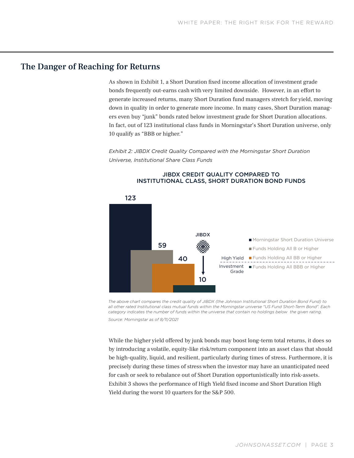## The Danger of Reaching for Returns

As shown in Exhibit 1, a Short Duration fixed income allocation of investment grade bonds frequently out-earns cash with very limited downside. However, in an effort to generate increased returns, many Short Duration fund managers stretch for yield, moving down in quality in order to generate more income. In many cases, Short Duration managers even buy "junk" bonds rated below investment grade for Short Duration allocations. In fact, out of 123 institutional class funds in Morningstar's Short Duration universe, only 10 qualify as "BBB or higher."

*Exhibit 2: JIBDX Credit Quality Compared with the Morningstar Short Duration Universe, Institutional Share Class Funds*



### JIBDX CREDIT QUALITY COMPARED TO INSTITUTIONAL CLASS, SHORT DURATION BOND FUNDS

*The above chart compares the credit quality of JIBDX (the Johnson Institutional Short Duration Bond Fund) to all other rated Institutional class mutual funds within the Morningstar universe "US Fund Short-Term Bond". Each category indicates the number of funds within the universe that contain no holdings below the given rating. Source: Morningstar as of 8/11/2021*

While the higher yield offered by junk bonds may boost long-term total returns, it does so by introducing a volatile, equity-like risk/return component into an asset class that should be high-quality, liquid, and resilient, particularly during times of stress. Furthermore, it is precisely during these times of stress when the investor may have an unanticipated need for cash or seek to rebalance out of Short Duration opportunistically into risk-assets. Exhibit 3 shows the performance of High Yield fixed income and Short Duration High Yield during the worst 10 quarters for the S&P 500.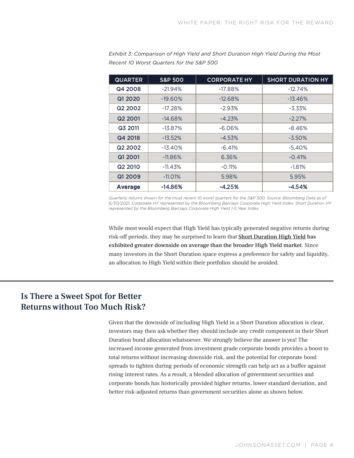| <b>QUARTER</b>      | <b>S&amp;P 500</b> | <b>CORPORATE HY</b> | <b>SHORT DURATION HY</b> |  |
|---------------------|--------------------|---------------------|--------------------------|--|
| Q4 2008             | $-21.94%$          | $-17.88%$           | $-12.74%$                |  |
| Q1 2020             | $-19.60\%$         | $-12.68%$           | $-13.46\%$               |  |
| Q <sub>2</sub> 2002 | $-17.28%$          | $-2.93%$            | $-3.33\%$                |  |
| Q <sub>2</sub> 2001 | $-14.68%$          | $-4.23%$            | $-2.27%$                 |  |
| Q3 2011             | $-13.87%$          | $-6.06%$            | $-8.46%$                 |  |
| Q4 2018             | $-13.52%$          | $-4.53%$            | $-3.50\%$                |  |
| Q <sub>2</sub> 2002 | $-13.40%$          | $-6.41%$            | $-5.40%$                 |  |
| Q1 2001             | $-11.86\%$         | 6.36%               | $-0.41%$                 |  |
| Q <sub>2</sub> 2010 | -11.43%            | $-0.11%$            | $-1.81%$                 |  |
| Q1 2009             | $-11.01\%$         | 5.98%               | 5.95%                    |  |
| <b>Average</b>      | $-14.86%$          | $-4.25%$            | $-4.54%$                 |  |

*Exhibit 3: Comparison of High Yield and Short Duration High Yield During the Most Recent 10 Worst Quarters for the S&P 500*

*Quarterly returns shown for the most recent 10 worst quarters for the S&P 500. Source: Bloomberg Data as of 6/30/2021, Corporate HY represented by the Bloomberg Barclays Corporate High Yield Index; Short Duration HY represented by the Bloomberg Barclays Corporate High Yield 1-5 Year Index.* 

While most would expect that High Yield has typically generated negative returns during risk-off periods, they may be surprised to learn that Short Duration High Yield has exhibited greater downside on average than the broader High Yield market. Since many investors in the Short Duration space express a preference for safety and liquidity, an allocation to High Yield within their portfolios should be avoided.

# Is There a Sweet Spot for Better Returns without Too Much Risk?

Given that the downside of including High Yield in a Short Duration allocation is clear, investors may then ask whether they should include any credit component in their Short Duration bond allocation whatsoever. We strongly believe the answer is yes! The increased income generated from investment grade corporate bonds provides a boost to total returns without increasing downside risk, and the potential for corporate bond spreads to tighten during periods of economic strength can help act as a buffer against rising interest rates. As a result, a blended allocation of government securities and corporate bonds has historically provided higher returns, lower standard deviation, and better risk-adjusted returns than government securities alone as shown below.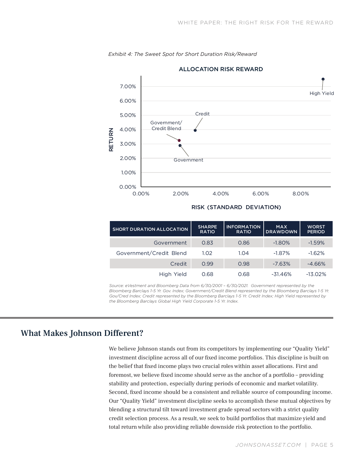

*Exhibit 4: The Sweet Spot for Short Duration Risk/Reward*

#### RISK (STANDARD DEVIATION)

| <b>SHORT DURATION ALLOCATION</b> | <b>SHARPE</b><br><b>RATIO</b> | <b>INFORMATION</b><br><b>RATIO</b> | <b>MAX</b><br><b>DRAWDOWN</b> | <b>WORST</b><br><b>PERIOD</b> |
|----------------------------------|-------------------------------|------------------------------------|-------------------------------|-------------------------------|
| Government                       | 0.83                          | 0.86                               | $-1.80%$                      | $-1.59%$                      |
| Government/Credit Blend          | 1.02                          | 1.04                               | $-1.87%$                      | $-1.62%$                      |
| Credit                           | 0.99                          | 0.98                               | $-7.63%$                      | $-4.66%$                      |
| High Yield                       | 0.68                          | 0.68                               | $-31.46%$                     | $-13.02%$                     |

*Source: eVestment and Bloomberg Data from 6/30/2001 – 6/30/2021. Government represented by the Bloomberg Barclays 1-5 Yr. Gov. Index; Government/Credit Blend represented by the Bloomberg Barclays 1-5 Yr. Gov/Cred Index; Credit represented by the Bloomberg Barclays 1-5 Yr. Credit Index; High Yield represented by the Bloomberg Barclays Global High Yield Corporate 1-5 Yr. Index.*

# What Makes Johnson Different?

We believe Johnson stands out from its competitors by implementing our "Quality Yield" investment discipline across all of our fixed income portfolios. This discipline is built on the belief that fixed income plays two crucial roles within asset allocations. First and foremost, we believe fixed income should serve as the anchor of a portfolio – providing stability and protection, especially during periods of economic and market volatility. Second, fixed income should be a consistent and reliable source of compounding income. Our "Quality Yield" investment discipline seeks to accomplish these mutual objectives by blending a structural tilt toward investment grade spread sectors with a strict quality credit selection process. As a result, we seek to build portfolios that maximize yield and total return while also providing reliable downside risk protection to the portfolio.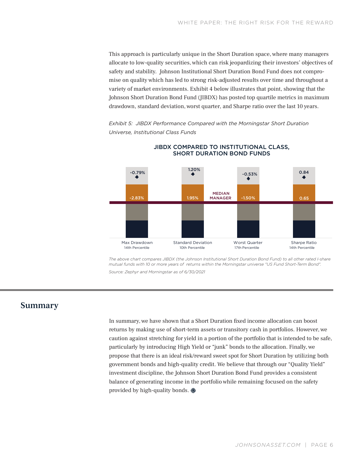This approach is particularly unique in the Short Duration space, where many managers allocate to low-quality securities, which can risk jeopardizing their investors' objectives of safety and stability. Johnson Institutional Short Duration Bond Fund does not compromise on quality which has led to strong risk-adjusted results over time and throughout a variety of market environments. Exhibit 4 below illustrates that point, showing that the Johnson Short Duration Bond Fund (JIBDX) has posted top quartile metrics in maximum drawdown, standard deviation, worst quarter, and Sharpe ratio over the last 10 years.

*Exhibit 5: JIBDX Performance Compared with the Morningstar Short Duration Universe, Institutional Class Funds* 



### JIBDX COMPARED TO INSTITUTIONAL CLASS, SHORT DURATION BOND FUNDS

*The above chart compares JIBDX (the Johnson Institutional Short Duration Bond Fund) to all other rated I-share mutual funds with 10 or more years of returns within the Morningstar universe "US Fund Short-Term Bond". Source: Zephyr and Morningstar as of 6/30/2021*

### Summary

In summary, we have shown that a Short Duration fixed income allocation can boost returns by making use of short-term assets or transitory cash in portfolios. However, we caution against stretching for yield in a portion of the portfolio that is intended to be safe, particularly by introducing High Yield or "junk" bonds to the allocation. Finally, we propose that there is an ideal risk/reward sweet spot for Short Duration by utilizing both government bonds and high-quality credit. We believe that through our "Quality Yield" investment discipline, the Johnson Short Duration Bond Fund provides a consistent balance of generating income in the portfolio while remaining focused on the safety provided by high-quality bonds.